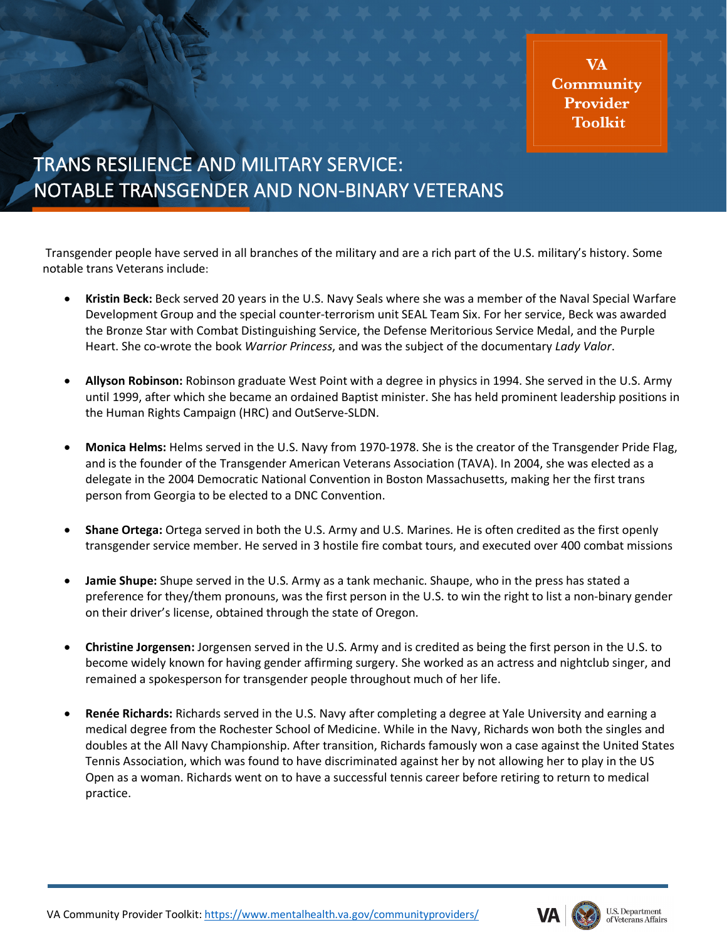**VA** Community Provider **Toolkit** 

## TRANS RESILIENCE AND MILITARY SERVICE: NOTABLE TRANSGENDER AND NON-BINARY VETERANS

Transgender people have served in all branches of the military and are a rich part of the U.S. military's history. Some notable trans Veterans include:

- **Kristin Beck:** Beck served 20 years in the U.S. Navy Seals where she was a member of the Naval Special Warfare Development Group and the special counter-terrorism unit SEAL Team Six. For her service, Beck was awarded the Bronze Star with Combat Distinguishing Service, the Defense Meritorious Service Medal, and the Purple Heart. She co-wrote the book *Warrior Princess*, and was the subject of the documentary *Lady Valor*.
- **Allyson Robinson:** Robinson graduate West Point with a degree in physics in 1994. She served in the U.S. Army until 1999, after which she became an ordained Baptist minister. She has held prominent leadership positions in the Human Rights Campaign (HRC) and OutServe-SLDN.
- **Monica Helms:** Helms served in the U.S. Navy from 1970-1978. She is the creator of the Transgender Pride Flag, and is the founder of the Transgender American Veterans Association (TAVA). In 2004, she was elected as a delegate in the 2004 Democratic National Convention in Boston Massachusetts, making her the first trans person from Georgia to be elected to a DNC Convention.
- **Shane Ortega:** Ortega served in both the U.S. Army and U.S. Marines. He is often credited as the first openly transgender service member. He served in 3 hostile fire combat tours, and executed over 400 combat missions
- **Jamie Shupe:** Shupe served in the U.S. Army as a tank mechanic. Shaupe, who in the press has stated a preference for they/them pronouns, was the first person in the U.S. to win the right to list a non-binary gender on their driver's license, obtained through the state of Oregon.
- **Christine Jorgensen:** Jorgensen served in the U.S. Army and is credited as being the first person in the U.S. to become widely known for having gender affirming surgery. She worked as an actress and nightclub singer, and remained a spokesperson for transgender people throughout much of her life.
- **Renée Richards:** Richards served in the U.S. Navy after completing a degree at Yale University and earning a medical degree from the Rochester School of Medicine. While in the Navy, Richards won both the singles and doubles at the All Navy Championship. After transition, Richards famously won a case against the United States Tennis Association, which was found to have discriminated against her by not allowing her to play in the US Open as a woman. Richards went on to have a successful tennis career before retiring to return to medical practice.